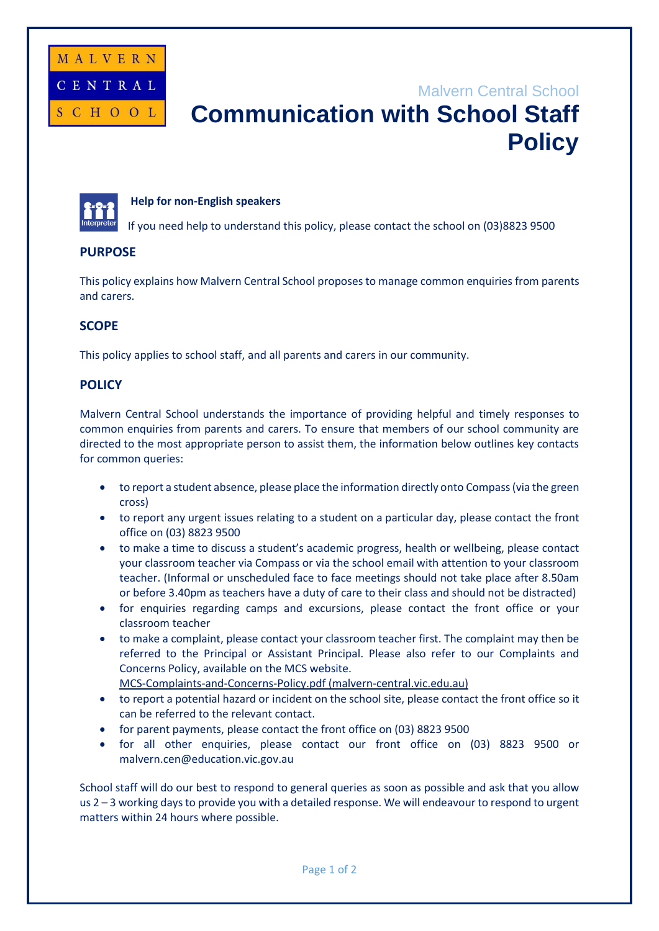

# Malvern Central School **Communication with School Staff Policy**

### **Help for non-English speakers**

If you need help to understand this policy, please contact the school on (03)8823 9500

# **PURPOSE**

This policy explains how Malvern Central School proposes to manage common enquiries from parents and carers.

# **SCOPE**

This policy applies to school staff, and all parents and carers in our community.

# **POLICY**

Malvern Central School understands the importance of providing helpful and timely responses to common enquiries from parents and carers. To ensure that members of our school community are directed to the most appropriate person to assist them, the information below outlines key contacts for common queries:

- to report a student absence, please place the information directly onto Compass (via the green cross)
- to report any urgent issues relating to a student on a particular day, please contact the front office on (03) 8823 9500
- to make a time to discuss a student's academic progress, health or wellbeing, please contact your classroom teacher via Compass or via the school email with attention to your classroom teacher. (Informal or unscheduled face to face meetings should not take place after 8.50am or before 3.40pm as teachers have a duty of care to their class and should not be distracted)
- for enquiries regarding camps and excursions, please contact the front office or your classroom teacher
- to make a complaint, please contact your classroom teacher first. The complaint may then be referred to the Principal or Assistant Principal. Please also refer to our Complaints and Concerns Policy, available on the MCS website.
	- [MCS-Complaints-and-Concerns-Policy.pdf \(malvern-central.vic.edu.au\)](https://malvern-central.vic.edu.au/wp-content/uploads/2019/07/MCS-Complaints-and-Concerns-Policy.pdf)
- to report a potential hazard or incident on the school site, please contact the front office so it can be referred to the relevant contact.
- for parent payments, please contact the front office on (03) 8823 9500
- for all other enquiries, please contact our front office on (03) 8823 9500 or malvern.cen@education.vic.gov.au

School staff will do our best to respond to general queries as soon as possible and ask that you allow us 2 – 3 working days to provide you with a detailed response. We will endeavour to respond to urgent matters within 24 hours where possible.